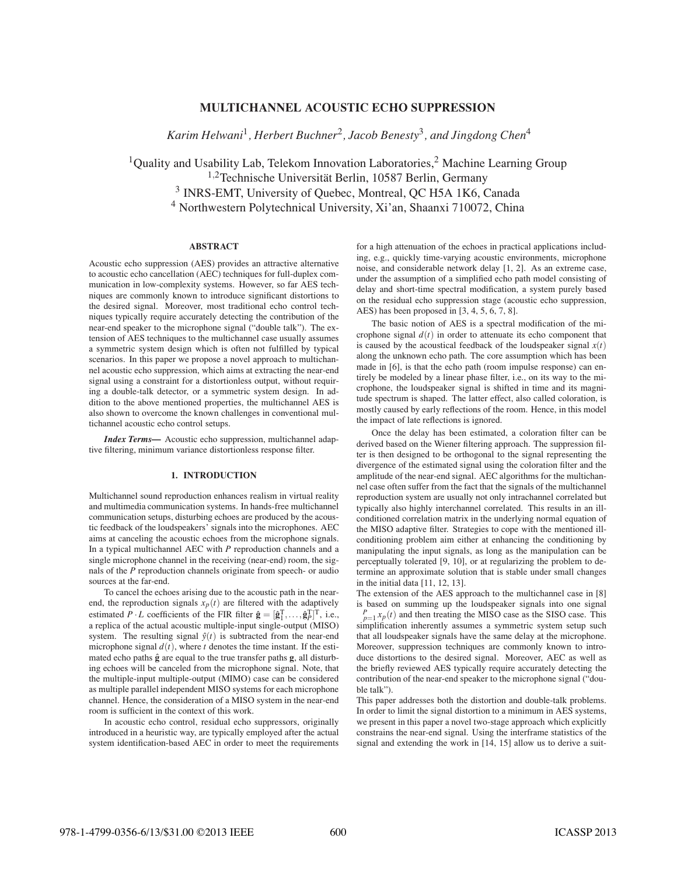# **MULTICHANNEL ACOUSTIC ECHO SUPPRESSION**

*Karim Helwani*<sup>1</sup> *, Herbert Buchner*<sup>2</sup> *, Jacob Benesty*<sup>3</sup> *, and Jingdong Chen*<sup>4</sup>

<sup>1</sup>Quality and Usability Lab, Telekom Innovation Laboratories,<sup>2</sup> Machine Learning Group  $1,2$ Technische Universität Berlin, 10587 Berlin, Germany <sup>3</sup> INRS-EMT, University of Quebec, Montreal, QC H5A 1K6, Canada <sup>4</sup> Northwestern Polytechnical University, Xi'an, Shaanxi 710072, China

# **ABSTRACT**

Acoustic echo suppression (AES) provides an attractive alternative to acoustic echo cancellation (AEC) techniques for full-duplex communication in low-complexity systems. However, so far AES techniques are commonly known to introduce significant distortions to the desired signal. Moreover, most traditional echo control techniques typically require accurately detecting the contribution of the near-end speaker to the microphone signal ("double talk"). The extension of AES techniques to the multichannel case usually assumes a symmetric system design which is often not fulfilled by typical scenarios. In this paper we propose a novel approach to multichannel acoustic echo suppression, which aims at extracting the near-end signal using a constraint for a distortionless output, without requiring a double-talk detector, or a symmetric system design. In addition to the above mentioned properties, the multichannel AES is also shown to overcome the known challenges in conventional multichannel acoustic echo control setups.

*Index Terms***—** Acoustic echo suppression, multichannel adaptive filtering, minimum variance distortionless response filter.

## **1. INTRODUCTION**

Multichannel sound reproduction enhances realism in virtual reality and multimedia communication systems. In hands-free multichannel communication setups, disturbing echoes are produced by the acoustic feedback of the loudspeakers' signals into the microphones. AEC aims at canceling the acoustic echoes from the microphone signals. In a typical multichannel AEC with *P* reproduction channels and a single microphone channel in the receiving (near-end) room, the signals of the *P* reproduction channels originate from speech- or audio sources at the far-end.

To cancel the echoes arising due to the acoustic path in the nearend, the reproduction signals  $x_p(t)$  are filtered with the adaptively estimated  $P \cdot L$  coefficients of the FIR filter  $\hat{\mathbf{g}} = [\hat{\mathbf{g}}_1^T, \dots, \hat{\mathbf{g}}_P^T]^T$ , i.e., a replica of the actual acoustic multiple-input single-output (MISO) system. The resulting signal  $\hat{y}(t)$  is subtracted from the near-end microphone signal  $d(t)$ , where *t* denotes the time instant. If the estimated echo paths  $\hat{\mathbf{g}}$  are equal to the true transfer paths  $\mathbf{g}$ , all disturbing echoes will be canceled from the microphone signal. Note, that the multiple-input multiple-output (MIMO) case can be considered as multiple parallel independent MISO systems for each microphone channel. Hence, the consideration of a MISO system in the near-end room is sufficient in the context of this work.

In acoustic echo control, residual echo suppressors, originally introduced in a heuristic way, are typically employed after the actual system identification-based AEC in order to meet the requirements for a high attenuation of the echoes in practical applications including, e.g., quickly time-varying acoustic environments, microphone noise, and considerable network delay [1, 2]. As an extreme case, under the assumption of a simplified echo path model consisting of delay and short-time spectral modification, a system purely based on the residual echo suppression stage (acoustic echo suppression, AES) has been proposed in [3, 4, 5, 6, 7, 8].

The basic notion of AES is a spectral modification of the microphone signal  $d(t)$  in order to attenuate its echo component that is caused by the acoustical feedback of the loudspeaker signal  $x(t)$ along the unknown echo path. The core assumption which has been made in [6], is that the echo path (room impulse response) can entirely be modeled by a linear phase filter, i.e., on its way to the microphone, the loudspeaker signal is shifted in time and its magnitude spectrum is shaped. The latter effect, also called coloration, is mostly caused by early reflections of the room. Hence, in this model the impact of late reflections is ignored.

Once the delay has been estimated, a coloration filter can be derived based on the Wiener filtering approach. The suppression filter is then designed to be orthogonal to the signal representing the divergence of the estimated signal using the coloration filter and the amplitude of the near-end signal. AEC algorithms for the multichannel case often suffer from the fact that the signals of the multichannel reproduction system are usually not only intrachannel correlated but typically also highly interchannel correlated. This results in an illconditioned correlation matrix in the underlying normal equation of the MISO adaptive filter. Strategies to cope with the mentioned illconditioning problem aim either at enhancing the conditioning by manipulating the input signals, as long as the manipulation can be perceptually tolerated [9, 10], or at regularizing the problem to determine an approximate solution that is stable under small changes in the initial data [11, 12, 13].

The extension of the AES approach to the multichannel case in [8] is based on summing up the loudspeaker signals into one signal  $P_{p=1}^{P}$  *x<sub>p</sub>*(*t*) and then treating the MISO case as the SISO case. This simplification inherently assumes a symmetric system setup such that all loudspeaker signals have the same delay at the microphone. Moreover, suppression techniques are commonly known to introduce distortions to the desired signal. Moreover, AEC as well as the briefly reviewed AES typically require accurately detecting the contribution of the near-end speaker to the microphone signal ("double talk").

This paper addresses both the distortion and double-talk problems. In order to limit the signal distortion to a minimum in AES systems, we present in this paper a novel two-stage approach which explicitly constrains the near-end signal. Using the interframe statistics of the signal and extending the work in [14, 15] allow us to derive a suit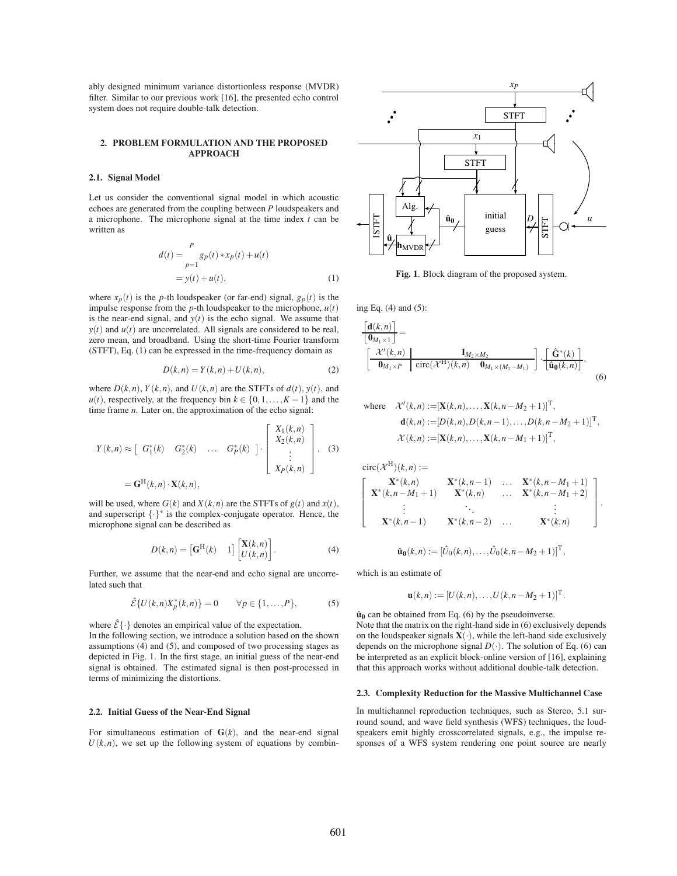ably designed minimum variance distortionless response (MVDR) filter. Similar to our previous work [16], the presented echo control system does not require double-talk detection.

## **2. PROBLEM FORMULATION AND THE PROPOSED APPROACH**

# **2.1. Signal Model**

Let us consider the conventional signal model in which acoustic echoes are generated from the coupling between *P* loudspeakers and a microphone. The microphone signal at the time index *t* can be written as

$$
d(t) = \sum_{p=1}^{P} g_p(t) * x_p(t) + u(t)
$$
  
=  $y(t) + u(t)$ , (1)

where  $x_p(t)$  is the *p*-th loudspeaker (or far-end) signal,  $g_p(t)$  is the impulse response from the  $p$ -th loudspeaker to the microphone,  $u(t)$ is the near-end signal, and  $y(t)$  is the echo signal. We assume that  $y(t)$  and  $u(t)$  are uncorrelated. All signals are considered to be real, zero mean, and broadband. Using the short-time Fourier transform (STFT), Eq. (1) can be expressed in the time-frequency domain as

$$
D(k,n) = Y(k,n) + U(k,n),\tag{2}
$$

where  $D(k, n)$ ,  $Y(k, n)$ , and  $U(k, n)$  are the STFTs of  $d(t)$ ,  $y(t)$ , and *u*(*t*), respectively, at the frequency bin  $k \in \{0, 1, \ldots, K-1\}$  and the time frame *n*. Later on, the approximation of the echo signal:

$$
Y(k,n) \approx \begin{bmatrix} G_1^*(k) & G_2^*(k) & \dots & G_P^*(k) \end{bmatrix} \cdot \begin{bmatrix} X_1(k,n) \\ X_2(k,n) \\ \vdots \\ X_P(k,n) \end{bmatrix},
$$
 (3)
$$
= \mathbf{G}^{\mathrm{H}}(k,n) \cdot \mathbf{X}(k,n),
$$

will be used, where  $G(k)$  and  $X(k, n)$  are the STFTs of  $g(t)$  and  $x(t)$ , and superscript {·}<sup>∗</sup> is the complex-conjugate operator. Hence, the microphone signal can be described as

$$
D(k,n) = \begin{bmatrix} \mathbf{G}^{\mathrm{H}}(k) & 1 \end{bmatrix} \begin{bmatrix} \mathbf{X}(k,n) \\ U(k,n) \end{bmatrix}.
$$
 (4)

Further, we assume that the near-end and echo signal are uncorrelated such that

$$
\hat{\mathcal{E}}\{U(k,n)X_p^*(k,n)\}=0 \qquad \forall p \in \{1,\ldots,P\},\tag{5}
$$

where  $\hat{\mathcal{E}}\{\cdot\}$  denotes an empirical value of the expectation. In the following section, we introduce a solution based on the shown assumptions (4) and (5), and composed of two processing stages as depicted in Fig. 1. In the first stage, an initial guess of the near-end signal is obtained. The estimated signal is then post-processed in terms of minimizing the distortions.

## **2.2. Initial Guess of the Near-End Signal**

For simultaneous estimation of  $\mathbf{G}(k)$ , and the near-end signal  $U(k, n)$ , we set up the following system of equations by combin-



**Fig. 1**. Block diagram of the proposed system.

ing Eq. (4) and (5):

$$
\begin{aligned}\n\left[\frac{\mathbf{d}(k,n)}{\mathbf{0}_{M_1\times 1}}\right] &= \\
\left[\frac{\mathcal{X}'(k,n)}{\mathbf{0}_{M_1\times P}}\middle|\begin{array}{c}\mathbf{I}_{M_2\times M_2} \\
\mathbf{circ}(\mathcal{X}^H)(k,n) & \mathbf{0}_{M_1\times (M_2-M_1)}\end{array}\right] \cdot \left[\frac{\hat{\mathbf{G}}^*(k)}{\hat{\mathbf{u}}_0(k,n)}\right],\n\end{aligned}
$$
\n(6)

where 
$$
\mathcal{X}'(k,n) := [\mathbf{X}(k,n), ..., \mathbf{X}(k,n-M_2+1)]^{\mathrm{T}},
$$
  
\n $\mathbf{d}(k,n) := [D(k,n), D(k,n-1), ..., D(k,n-M_2+1)]^{\mathrm{T}},$   
\n $\mathcal{X}(k,n) := [\mathbf{X}(k,n), ..., \mathbf{X}(k,n-M_1+1)]^{\mathrm{T}},$ 

 $circ(\mathcal{X}^{\mathrm{H}})(k,n) :=$ T  $\mathbf{I}$  $\mathbf{I}$  $\mathbf{I}$  $\mathbf{I}$  $\mathbf{X}^*(k,n)$  **X** ∗ (*k*,*n*−1) ... **X** ∗ (*k*,*n*−*M*<sup>1</sup> +1)  $X^*(k, n - M_1 + 1)$  **X** \* $(k, n)$  ... **X**<sup>\*</sup> $(k, n-M_1+2)$ . . . . . . . . .  $X^*(k, n-1)$  **X** ∗ (*k*,*n*−2) ... **X** ∗ (*k*,*n*) 1  $\mathbf{I}$  $\mathbf{I}$  $\overline{1}$  $\mathbf{I}$ 

,

$$
\hat{\mathbf{u}}_0(k,n) := [\hat{U}_0(k,n), \dots, \hat{U}_0(k,n-M_2+1)]^{\mathrm{T}},
$$

which is an estimate of

$$
\mathbf{u}(k,n) := [U(k,n), \dots, U(k,n-M_2+1)]^{\mathrm{T}}.
$$

 $\hat{u}_0$  can be obtained from Eq. (6) by the pseudoinverse. Note that the matrix on the right-hand side in (6) exclusively depends on the loudspeaker signals  $X(\cdot)$ , while the left-hand side exclusively depends on the microphone signal  $D(\cdot)$ . The solution of Eq. (6) can be interpreted as an explicit block-online version of [16], explaining that this approach works without additional double-talk detection.

## **2.3. Complexity Reduction for the Massive Multichannel Case**

In multichannel reproduction techniques, such as Stereo, 5.1 surround sound, and wave field synthesis (WFS) techniques, the loudspeakers emit highly crosscorrelated signals, e.g., the impulse responses of a WFS system rendering one point source are nearly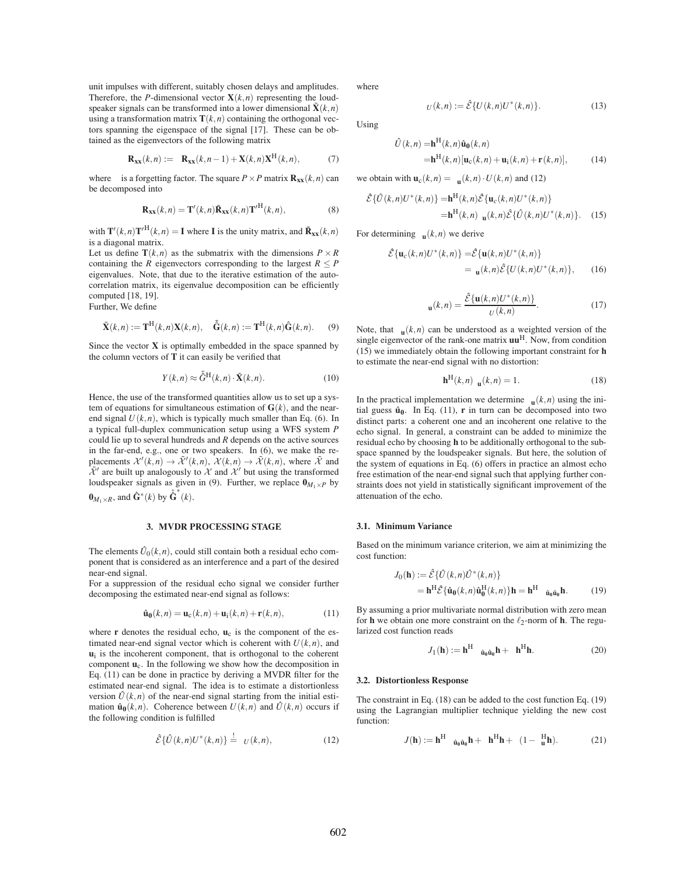unit impulses with different, suitably chosen delays and amplitudes. Therefore, the *P*-dimensional vector  $\mathbf{X}(k, n)$  representing the loudspeaker signals can be transformed into a lower dimensional  $\tilde{\mathbf{X}}(k,n)$ using a transformation matrix  $\mathbf{T}(k, n)$  containing the orthogonal vectors spanning the eigenspace of the signal [17]. These can be obtained as the eigenvectors of the following matrix

$$
\mathbf{R}_{\mathbf{xx}}(k,n) := \mathbf{R}_{\mathbf{xx}}(k,n-1) + \mathbf{X}(k,n)\mathbf{X}^{\mathrm{H}}(k,n), \tag{7}
$$

where is a forgetting factor. The square  $P \times P$  matrix  $\mathbf{R}_{xx}(k, n)$  can be decomposed into

$$
\mathbf{R}_{\mathbf{xx}}(k,n) = \mathbf{T}'(k,n)\tilde{\mathbf{R}}_{\mathbf{xx}}(k,n)\mathbf{T}'^{\mathrm{H}}(k,n),
$$
\n(8)

with  $\mathbf{T}'(k,n)\mathbf{T}'^{\mathrm{H}}(k,n) = \mathbf{I}$  where **I** is the unity matrix, and  $\tilde{\mathbf{R}}_{\mathbf{XX}}(k,n)$ is a diagonal matrix.

Let us define  $\mathbf{T}(k,n)$  as the submatrix with the dimensions  $P \times R$ containing the *R* eigenvectors corresponding to the largest  $R \leq P$ eigenvalues. Note, that due to the iterative estimation of the autocorrelation matrix, its eigenvalue decomposition can be efficiently computed [18, 19]. Further, We define

$$
\tilde{\mathbf{X}}(k,n) := \mathbf{T}^{\mathrm{H}}(k,n)\mathbf{X}(k,n), \quad \tilde{\mathbf{G}}(k,n) := \mathbf{T}^{\mathrm{H}}(k,n)\hat{\mathbf{G}}(k,n). \tag{9}
$$

Since the vector **X** is optimally embedded in the space spanned by the column vectors of **T** it can easily be verified that

$$
Y(k,n) \approx \tilde{G}^{\mathrm{H}}(k,n) \cdot \tilde{\mathbf{X}}(k,n). \tag{10}
$$

Hence, the use of the transformed quantities allow us to set up a system of equations for simultaneous estimation of  $G(k)$ , and the nearend signal  $U(k, n)$ , which is typically much smaller than Eq. (6). In a typical full-duplex communication setup using a WFS system *P* could lie up to several hundreds and *R* depends on the active sources in the far-end, e.g., one or two speakers. In (6), we make the replacements  $\mathcal{X}'(k,n) \to \tilde{\mathcal{X}}'(k,n)$ ,  $\mathcal{X}(k,n) \to \tilde{\mathcal{X}}(k,n)$ , where  $\tilde{\mathcal{X}}$  and  $\tilde{\mathcal{X}}'$  are built up analogously to  $\mathcal X$  and  $\mathcal X'$  but using the transformed loudspeaker signals as given in (9). Further, we replace  $\mathbf{0}_{M_1 \times P}$  by  $\mathbf{0}_{M_1 \times R}$ , and  $\mathbf{\hat{G}}^*(k)$  by  $\mathbf{\hat{\hat{G}}^*(k)}$ .

### **3. MVDR PROCESSING STAGE**

The elements  $\hat{U}_0(k,n)$ , could still contain both a residual echo component that is considered as an interference and a part of the desired near-end signal.

For a suppression of the residual echo signal we consider further decomposing the estimated near-end signal as follows:

$$
\hat{\mathbf{u}}_0(k,n) = \mathbf{u}_c(k,n) + \mathbf{u}_i(k,n) + \mathbf{r}(k,n),
$$
\n(11)

where  $\bf{r}$  denotes the residual echo,  $\bf{u}_c$  is the component of the estimated near-end signal vector which is coherent with  $U(k, n)$ , and  $\mathbf{u}_i$  is the incoherent component, that is orthogonal to the coherent component **u**c. In the following we show how the decomposition in Eq. (11) can be done in practice by deriving a MVDR filter for the estimated near-end signal. The idea is to estimate a distortionless version  $\hat{U}(k,n)$  of the near-end signal starting from the initial estimation  $\hat{\mathbf{u}}_0(k,n)$ . Coherence between  $U(k,n)$  and  $\hat{U}(k,n)$  occurs if the following condition is fulfilled

$$
\hat{\mathcal{E}}\{\hat{U}(k,n)U^*(k,n)\} \stackrel{!}{=} U(k,n), \tag{12}
$$

where

Using

$$
U(k,n) := \hat{\mathcal{E}} \{ U(k,n)U^*(k,n) \}.
$$
 (13)

$$
\hat{U}(k,n) = \mathbf{h}^{\mathrm{H}}(k,n)\hat{\mathbf{u}}_0(k,n)
$$
  
=\mathbf{h}^{\mathrm{H}}(k,n)[\mathbf{u}\_c(k,n) + \mathbf{u}\_i(k,n) + \mathbf{r}(k,n)], (14)

we obtain with 
$$
\mathbf{u}_c(k,n) = \mathbf{u}(k,n) \cdot U(k,n)
$$
 and (12)  
\n
$$
\hat{\mathcal{E}}\{\hat{U}(k,n)U^*(k,n)\} = \mathbf{h}^H(k,n)\hat{\mathcal{E}}\{\mathbf{u}_c(k,n)U^*(k,n)\}
$$
\n
$$
= \mathbf{h}^H(k,n) \mathbf{u}(k,n)\hat{\mathcal{E}}\{\hat{U}(k,n)U^*(k,n)\}. \quad (15)
$$

For determining  $\mathbf{u}(k,n)$  we derive

$$
\hat{\mathcal{E}}\{\mathbf{u}_c(k,n)U^*(k,n)\} = \hat{\mathcal{E}}\{\mathbf{u}(k,n)U^*(k,n)\}
$$
  
= 
$$
\mathbf{u}(k,n)\hat{\mathcal{E}}\{U(k,n)U^*(k,n)\},
$$
 (16)

$$
\mathbf{u}(k,n) = \frac{\mathcal{E}\{\mathbf{u}(k,n)U^*(k,n)\}}{U(k,n)}.
$$
 (17)

Note, that  $\mathbf{u}(k,n)$  can be understood as a weighted version of the single eigenvector of the rank-one matrix **uu**H. Now, from condition (15) we immediately obtain the following important constraint for **h** to estimate the near-end signal with no distortion:

$$
\mathbf{h}^{\mathrm{H}}(k,n) \mathbf{u}(k,n) = 1. \tag{18}
$$

In the practical implementation we determine  $\mathbf{u}(k,n)$  using the initial guess  $\hat{u}_0$ . In Eq. (11), **r** in turn can be decomposed into two distinct parts: a coherent one and an incoherent one relative to the echo signal. In general, a constraint can be added to minimize the residual echo by choosing **h** to be additionally orthogonal to the subspace spanned by the loudspeaker signals. But here, the solution of the system of equations in Eq. (6) offers in practice an almost echo free estimation of the near-end signal such that applying further constraints does not yield in statistically significant improvement of the attenuation of the echo.

## **3.1. Minimum Variance**

Based on the minimum variance criterion, we aim at minimizing the cost function:

$$
J_0(\mathbf{h}) := \hat{\mathcal{E}} \{ \hat{U}(k,n) \hat{U}^*(k,n) \}
$$
  
=  $\mathbf{h}^{\mathrm{H}} \hat{\mathcal{E}} \{ \hat{\mathbf{u}}_0(k,n) \hat{\mathbf{u}}_0^{\mathrm{H}}(k,n) \} \mathbf{h} = \mathbf{h}^{\mathrm{H}} \quad \hat{\mathbf{u}}_0 \hat{\mathbf{u}}_0 \mathbf{h}.$  (19)

By assuming a prior multivariate normal distribution with zero mean for **h** we obtain one more constraint on the  $\ell_2$ -norm of **h**. The regularized cost function reads

$$
J_1(\mathbf{h}) := \mathbf{h}^{\mathrm{H}} \quad \hat{\mathbf{u}}_0 \hat{\mathbf{u}}_0 \mathbf{h} + \mathbf{h}^{\mathrm{H}} \mathbf{h}.
$$
 (20)

#### **3.2. Distortionless Response**

The constraint in Eq. (18) can be added to the cost function Eq. (19) using the Lagrangian multiplier technique yielding the new cost function:

$$
J(\mathbf{h}) := \mathbf{h}^{\mathrm{H}} \quad \hat{\mathbf{u}}_0 \hat{\mathbf{u}}_0 \mathbf{h} + \mathbf{h}^{\mathrm{H}} \mathbf{h} + (1 - \frac{\mathrm{H}}{\mathbf{u}} \mathbf{h}). \tag{21}
$$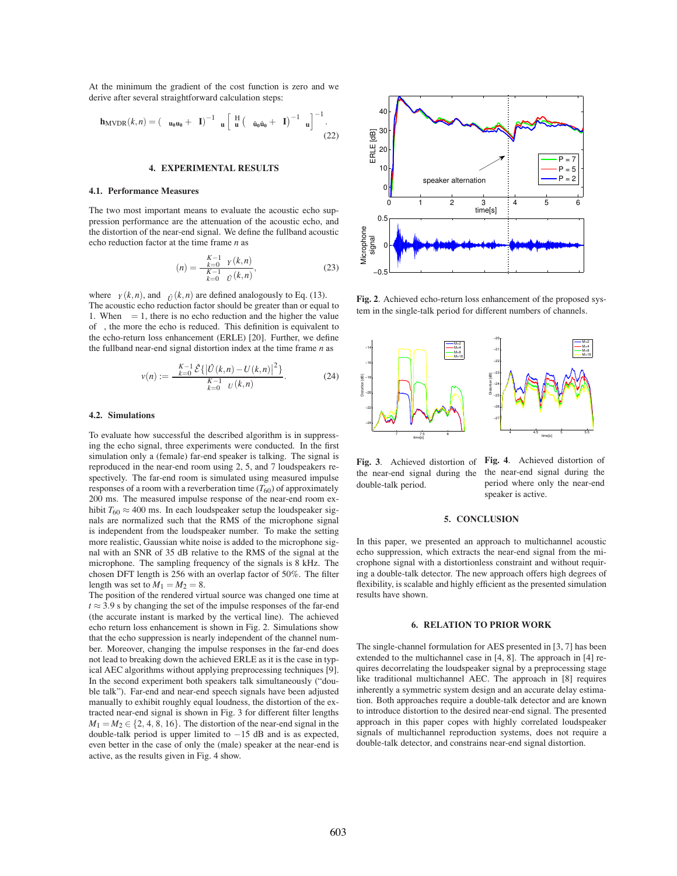At the minimum the gradient of the cost function is zero and we derive after several straightforward calculation steps:

$$
\mathbf{h}_{\text{MVDR}}(k,n) = \left(\begin{array}{ccc} \mathbf{u}_0 \mathbf{u}_0 + & \mathbf{I} \end{array}\right)^{-1} \mathbf{u} \left[\begin{array}{ccc} \mathbf{H} & \left(\begin{array}{ccc} \mathbf{u}_0 \hat{\mathbf{u}}_0 + & \mathbf{I} \end{array}\right)^{-1} & \mathbf{u} \end{array}\right]^{-1} . \tag{22}
$$

## **4. EXPERIMENTAL RESULTS**

#### **4.1. Performance Measures**

The two most important means to evaluate the acoustic echo suppression performance are the attenuation of the acoustic echo, and the distortion of the near-end signal. We define the fullband acoustic echo reduction factor at the time frame *n* as

$$
(n) = \frac{\sum_{k=0}^{K-1} \gamma(k,n)}{\sum_{k=0}^{K-1} \gamma(k,n)},
$$
\n(23)

where  $Y(k,n)$ , and  $\hat{U}(k,n)$  are defined analogously to Eq. (13). The acoustic echo reduction factor should be greater than or equal to 1. When  $= 1$ , there is no echo reduction and the higher the value of , the more the echo is reduced. This definition is equivalent to the echo-return loss enhancement (ERLE) [20]. Further, we define the fullband near-end signal distortion index at the time frame *n* as

$$
v(n) := \frac{\sum_{k=0}^{K-1} \hat{\mathcal{E}}\{ \left| \hat{U}(k,n) - U(k,n) \right|^2 \}}{\sum_{k=0}^{K-1} U(k,n)}.
$$
 (24)

## **4.2. Simulations**

To evaluate how successful the described algorithm is in suppressing the echo signal, three experiments were conducted. In the first simulation only a (female) far-end speaker is talking. The signal is reproduced in the near-end room using 2, 5, and 7 loudspeakers respectively. The far-end room is simulated using measured impulse responses of a room with a reverberation time  $(T_{60})$  of approximately 200 ms. The measured impulse response of the near-end room exhibit  $T_{60} \approx 400$  ms. In each loudspeaker setup the loudspeaker signals are normalized such that the RMS of the microphone signal is independent from the loudspeaker number. To make the setting more realistic, Gaussian white noise is added to the microphone signal with an SNR of 35 dB relative to the RMS of the signal at the microphone. The sampling frequency of the signals is 8 kHz. The chosen DFT length is 256 with an overlap factor of 50%. The filter length was set to  $M_1 = M_2 = 8$ .

The position of the rendered virtual source was changed one time at  $t \approx 3.9$  s by changing the set of the impulse responses of the far-end (the accurate instant is marked by the vertical line). The achieved echo return loss enhancement is shown in Fig. 2. Simulations show that the echo suppression is nearly independent of the channel number. Moreover, changing the impulse responses in the far-end does not lead to breaking down the achieved ERLE as it is the case in typical AEC algorithms without applying preprocessing techniques [9]. In the second experiment both speakers talk simultaneously ("double talk"). Far-end and near-end speech signals have been adjusted manually to exhibit roughly equal loudness, the distortion of the extracted near-end signal is shown in Fig. 3 for different filter lengths  $M_1 = M_2 \in \{2, 4, 8, 16\}$ . The distortion of the near-end signal in the double-talk period is upper limited to −15 dB and is as expected, even better in the case of only the (male) speaker at the near-end is active, as the results given in Fig. 4 show.



**Fig. 2**. Achieved echo-return loss enhancement of the proposed system in the single-talk period for different numbers of channels.



**Fig. 3**. Achieved distortion of the near-end signal during the double-talk period.

**Fig. 4**. Achieved distortion of the near-end signal during the period where only the near-end speaker is active.

#### **5. CONCLUSION**

In this paper, we presented an approach to multichannel acoustic echo suppression, which extracts the near-end signal from the microphone signal with a distortionless constraint and without requiring a double-talk detector. The new approach offers high degrees of flexibility, is scalable and highly efficient as the presented simulation results have shown.

## **6. RELATION TO PRIOR WORK**

The single-channel formulation for AES presented in [3, 7] has been extended to the multichannel case in [4, 8]. The approach in [4] requires decorrelating the loudspeaker signal by a preprocessing stage like traditional multichannel AEC. The approach in [8] requires inherently a symmetric system design and an accurate delay estimation. Both approaches require a double-talk detector and are known to introduce distortion to the desired near-end signal. The presented approach in this paper copes with highly correlated loudspeaker signals of multichannel reproduction systems, does not require a double-talk detector, and constrains near-end signal distortion.